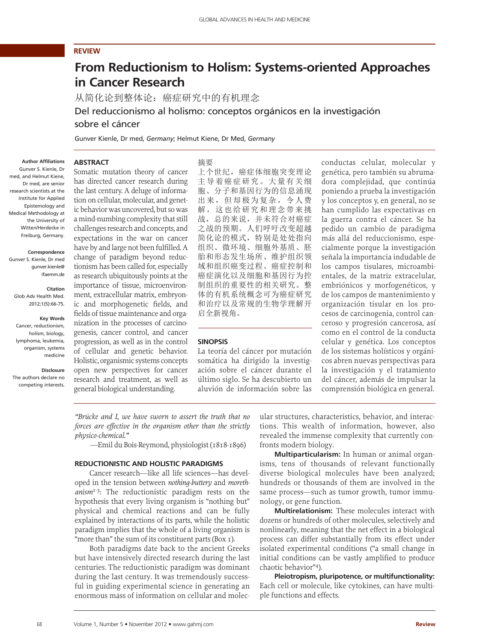# **review**

# **From Reductionism to Holism: Systems-oriented Approaches in Cancer Research**

从简化论到整体论: 癌症研究中的有机理念 Del reduccionismo al holismo: conceptos orgánicos en la investigación sobre el cáncer

Gunver Kienle, Dr med, *Germany*; Helmut Kiene, Dr Med, *Germany*

#### **Abstract**

Gunver S. Kienle, Dr med, and Helmut Kiene, Dr med, are senior research scientists at the Institute for Applied Epistemology and Medical Methodology at the University of Witten/Herdecke in Freiburg, Germany.

**Author Affiliations**

#### **Correspondence**

Gunver S. Kienle, Dr med gunver.kienle@ ifaemm.de

#### **Citation**

Glob Adv Health Med. 2012;1(5):66-75.

#### **Key Words** Cancer, reductionism, holism, biology, lymphoma, leukemia, organism, systems medicine

**Disclosure**

The authors declare no competing interests.

#### 摘要

Somatic mutation theory of cancer has directed cancer research during the last century. A deluge of information on cellular, molecular, and genetic behavior was uncovered, but so was a mind-numbing complexity that still challenges research and concepts, and expectations in the war on cancer have by and large not been fulfilled. A change of paradigm beyond reductionism has been called for, especially as research ubiquitously points at the importance of tissue, microenvironment, extracellular matrix, embryonic and morphogenetic fields, and fields of tissue maintenance and organization in the processes of carcinogenesis, cancer control, and cancer progression, as well as in the control of cellular and genetic behavior. Holistic, organismic systems concepts open new perspectives for cancer research and treatment, as well as general biological understanding.

上个世纪,癌症体细胞突变理论 主导着癌症研究。大量有关细 胞、分子和基因行为的信息涌现 出来,但却极为复杂,令人费 解,这也给研究和理念带来挑 战,总的来说,并未符合对癌症 之战的预期。人们呼吁改变超越 简化论的模式,特别是处处指向 组织、微环境、细胞外基质、胚 胎和形态发生场所、维护组织领 域和组织癌变过程、癌症控制和 癌症演化以及细胞和基因行为控 制组织的重要性的相关研究。整 体的有机系统概念可为癌症研究 和治疗以及常规的生物学理解开 启全新视角。

#### **Sinopsis**

La teoría del cáncer por mutación somática ha dirigido la investigación sobre el cáncer durante el último siglo. Se ha descubierto un aluvión de información sobre las conductas celular, molecular y genética, pero también su abrumadora complejidad, que continúa poniendo a prueba la investigación y los conceptos y, en general, no se han cumplido las expectativas en la guerra contra el cáncer. Se ha pedido un cambio de paradigma más allá del reduccionismo, especialmente porque la investigación señala la importancia indudable de los campos tisulares, microambientales, de la matriz extracelular, embriónicos y morfogenéticos, y de los campos de mantenimiento y organización tisular en los procesos de carcinogenia, control canceroso y progresión cancerosa, así como en el control de la conducta celular y genética. Los conceptos de los sistemas holísticos y orgánicos abren nuevas perspectivas para la investigación y el tratamiento del cáncer, además de impulsar la comprensión biológica en general.

*"Brücke and I, we have sworn to assert the truth that no forces are effective in the organism other than the strictly physico-chemical."* 

—Emil du Bois-Reymond, physiologist (1818-1896)

# **Reductionistic and holistic paradigms**

Cancer research—like all life sciences—has developed in the tension between *nothing-buttery* and *morethanism*1-3: The reductionistic paradigm rests on the hypothesis that every living organism is "nothing but" physical and chemical reactions and can be fully explained by interactions of its parts, while the holistic paradigm implies that the whole of a living organism is "more than" the sum of its constituent parts (Box 1).

Both paradigms date back to the ancient Greeks but have intensively directed research during the last centuries. The reductionistic paradigm was dominant during the last century. It was tremendously successful in guiding experimental science in generating an enormous mass of information on cellular and molec-

ular structures, characteristics, behavior, and interactions. This wealth of information, however, also revealed the immense complexity that currently confronts modern biology.

**Multiparticularism:** In human or animal organisms, tens of thousands of relevant functionally diverse biological molecules have been analyzed; hundreds or thousands of them are involved in the same process—such as tumor growth, tumor immunology, or gene function.

**Multirelationism:** These molecules interact with dozens or hundreds of other molecules, selectively and nonlinearly, meaning that the net effect in a biological process can differ substantially from its effect under isolated experimental conditions ("a small change in initial conditions can be vastly amplified to produce chaotic behavior"4).

**Pleiotropism, pluripotence, or multifunctionality:**  Each cell or molecule, like cytokines, can have multiple functions and effects.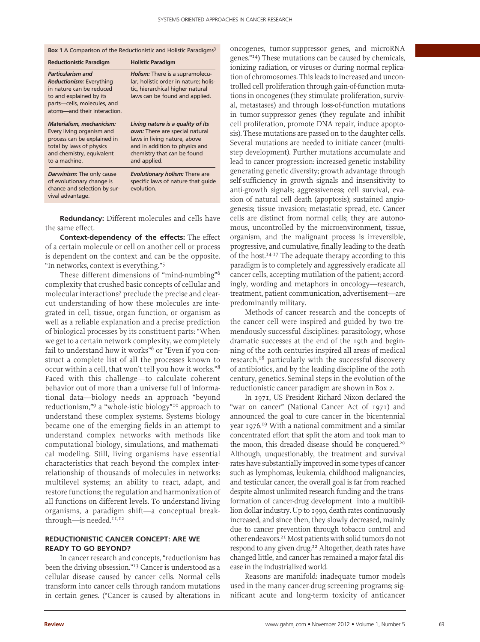| <b>Reductionistic Paradigm</b>                                                                                                                                             | <b>Holistic Paradigm</b>                                                                                                                                                             |
|----------------------------------------------------------------------------------------------------------------------------------------------------------------------------|--------------------------------------------------------------------------------------------------------------------------------------------------------------------------------------|
| Particularism and<br><b>Reductionism:</b> Everything<br>in nature can be reduced<br>to and explained by its<br>parts-cells, molecules, and<br>atoms-and their interaction. | <b>Holism:</b> There is a supramolecu-<br>lar, holistic order in nature; holis-<br>tic, hierarchical higher natural<br>laws can be found and applied.                                |
| <b>Materialism, mechanicism:</b><br>Every living organism and<br>process can be explained in<br>total by laws of physics<br>and chemistry, equivalent<br>to a machine.     | Living nature is a quality of its<br>own: There are special natural<br>laws in living nature, above<br>and in addition to physics and<br>chemistry that can be found<br>and applied. |
| <b>Darwinism:</b> The only cause<br>of evolutionary change is<br>chance and selection by sur-<br>vival advantage.                                                          | <b>Evolutionary holism:</b> There are<br>specific laws of nature that guide<br>evolution.                                                                                            |

**Redundancy:** Different molecules and cells have the same effect.

**Context-dependency of the effects:** The effect of a certain molecule or cell on another cell or process is dependent on the context and can be the opposite. "In networks, context is everything."5

These different dimensions of "mind-numbing"<sup>6</sup> complexity that crushed basic concepts of cellular and molecular interactions<sup>7</sup> preclude the precise and clearcut understanding of how these molecules are integrated in cell, tissue, organ function, or organism as well as a reliable explanation and a precise prediction of biological processes by its constituent parts: "When we get to a certain network complexity, we completely fail to understand how it works"<sup>6</sup> or "Even if you construct a complete list of all the processes known to occur within a cell, that won't tell you how it works."<sup>8</sup> Faced with this challenge—to calculate coherent behavior out of more than a universe full of informational data—biology needs an approach "beyond reductionism,"9 a "whole-istic biology"10 approach to understand these complex systems. Systems biology became one of the emerging fields in an attempt to understand complex networks with methods like computational biology, simulations, and mathematical modeling. Still, living organisms have essential characteristics that reach beyond the complex interrelationship of thousands of molecules in networks: multilevel systems; an ability to react, adapt, and restore functions; the regulation and harmonization of all functions on different levels. To understand living organisms, a paradigm shift—a conceptual breakthrough-is needed.<sup>11,12</sup>

## **Reductionistic cancer concept: are we ready to go beyond?**

In cancer research and concepts, "reductionism has been the driving obsession."<sup>13</sup> Cancer is understood as a cellular disease caused by cancer cells. Normal cells transform into cancer cells through random mutations in certain genes. ("Cancer is caused by alterations in

oncogenes, tumor-suppressor genes, and microRNA genes."14) These mutations can be caused by chemicals, ionizing radiation, or viruses or during normal replication of chromosomes. This leads to increased and uncontrolled cell proliferation through gain-of-function mutations in oncogenes (they stimulate proliferation, survival, metastases) and through loss-of-function mutations in tumor-suppressor genes (they regulate and inhibit cell proliferation, promote DNA repair, induce apoptosis). These mutations are passed on to the daughter cells. Several mutations are needed to initiate cancer (multistep development). Further mutations accumulate and lead to cancer progression: increased genetic instability generating genetic diversity; growth advantage through self-sufficiency in growth signals and insensitivity to anti-growth signals; aggressiveness; cell survival, evasion of natural cell death (apoptosis); sustained angiogenesis; tissue invasion; metastatic spread, etc. Cancer cells are distinct from normal cells; they are autonomous, uncontrolled by the microenvironment, tissue, organism, and the malignant process is irreversible, progressive, and cumulative, finally leading to the death of the host.<sup>14-17</sup> The adequate therapy according to this paradigm is to completely and aggressively eradicate all cancer cells, accepting mutilation of the patient; accordingly, wording and metaphors in oncology—research, treatment, patient communication, advertisement—are predominantly military.

Methods of cancer research and the concepts of the cancer cell were inspired and guided by two tremendously successful disciplines: parasitology, whose dramatic successes at the end of the 19th and beginning of the 20th centuries inspired all areas of medical research,<sup>18</sup> particularly with the successful discovery of antibiotics, and by the leading discipline of the 20th century, genetics. Seminal steps in the evolution of the reductionistic cancer paradigm are shown in Box 2.

In 1971, US President Richard Nixon declared the "war on cancer" (National Cancer Act of 1971) and announced the goal to cure cancer in the bicentennial year 1976.19 With a national commitment and a similar concentrated effort that split the atom and took man to the moon, this dreaded disease should be conquered.<sup>20</sup> Although, unquestionably, the treatment and survival rates have substantially improved in some types of cancer such as lymphomas, leukemia, childhood malignancies, and testicular cancer, the overall goal is far from reached despite almost unlimited research funding and the transformation of cancer-drug development into a multibillion dollar industry. Up to 1990, death rates continuously increased, and since then, they slowly decreased, mainly due to cancer prevention through tobacco control and other endeavors.21 Most patients with solid tumors do not respond to any given drug.<sup>22</sup> Altogether, death rates have changed little, and cancer has remained a major fatal disease in the industrialized world.

Reasons are manifold: inadequate tumor models used in the many cancer-drug screening programs; significant acute and long-term toxicity of anticancer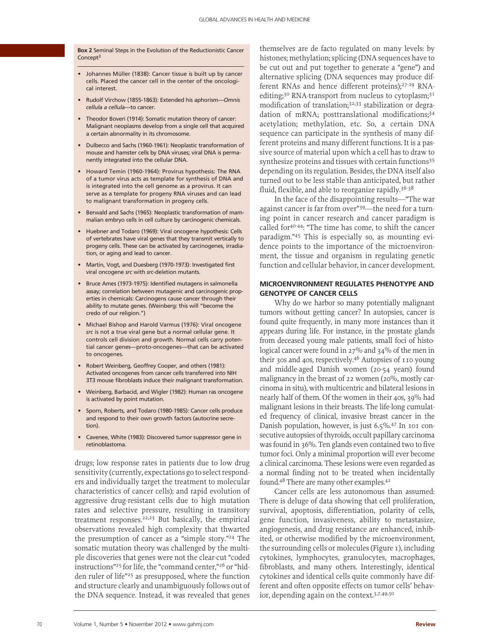**Box 2** Seminal Steps in the Evolution of the Reductionistic Cancer Concept<sup>3</sup>

- Johannes Müller (1838): Cancer tissue is built up by cancer cells. Placed the cancer cell in the center of the oncological interest.
- Rudolf Virchow (1855-1863): Extended his aphorism—*Omnis cellula a cellula*—to cancer.
- Theodor Boveri (1914): Somatic mutation theory of cancer: Malignant neoplasms develop from a single cell that acquired a certain abnormality in its chromosome.
- Dulbecco and Sachs (1960-1961): Neoplastic transformation of mouse and hamster cells by DNA viruses; viral DNA is permanently integrated into the cellular DNA.
- Howard Temin (1960-1964): Provirus hypothesis: The RNA of a tumor virus acts as template for synthesis of DNA and is integrated into the cell genome as a provirus. It can serve as a template for progeny RNA viruses and can lead to malignant transformation in progeny cells.
- Berwald and Sachs (1965): Neoplastic transformation of mammalian embryo cells in cell culture by carcinogenic chemicals.
- Huebner and Todaro (1969): Viral oncogene hypothesis: Cells of vertebrates have viral genes that they transmit vertically to progeny cells. These can be activated by carcinogenes, irradiation, or aging and lead to cancer.
- Martin, Vogt, and Duesberg (1970-1973): Investigated first viral oncogene *src* with *src*-deletion mutants.
- Bruce Ames (1973-1975): Identified mutagens in salmonella assay; correlation between mutagenic and carcinogenic properties in chemicals: Carcinogens cause cancer through their ability to mutate genes. (Weinberg: this will "become the credo of our religion.")
- Michael Bishop and Harold Varmus (1976): Viral oncogene *src* is not a true viral gene but a normal cellular gene. It controls cell division and growth. Normal cells carry potential cancer genes—proto-oncogenes—that can be activated to oncogenes.
- Robert Weinberg, Geoffrey Cooper, and others (1981): Activated oncogenes from cancer cells transferred into NIH 3T3 mouse fibroblasts induce their malignant transformation.
- Weinberg, Barbacid, and Wigler (1982): Human ras oncogene is activated by point mutation.
- Sporn, Roberts, and Todaro (1980-1985): Cancer cells produce and respond to their own growth factors (autocrine secretion).
- Cavenee, White (1983): Discovered tumor suppressor gene in retinoblastoma.

drugs; low response rates in patients due to low drug sensitivity (currently, expectations go to select responders and individually target the treatment to molecular characteristics of cancer cells); and rapid evolution of aggressive drug-resistant cells due to high mutation rates and selective pressure, resulting in transitory treatment responses. $22,23$  But basically, the empirical observations revealed high complexity that thwarted the presumption of cancer as a "simple story."24 The somatic mutation theory was challenged by the multiple discoveries that genes were not the clear-cut "coded instructions"25 for life, the "command center,"26 or "hidden ruler of life"25 as presupposed, where the function and structure clearly and unambiguously follows out of the DNA sequence. Instead, it was revealed that genes

themselves are de facto regulated on many levels: by histones; methylation; splicing (DNA sequences have to be cut out and put together to generate a "gene") and alternative splicing (DNA sequences may produce different RNAs and hence different proteins);<sup>27-29</sup> RNAediting;<sup>30</sup> RNA-transport from nucleus to cytoplasm;<sup>31</sup> modification of translation;<sup>32,33</sup> stabilization or degradation of mRNA; posttranslational modifications;<sup>34</sup> acetylation; methylation, etc. So, a certain DNA sequence can participate in the synthesis of many different proteins and many different functions. It is a passive source of material upon which a cell has to draw to synthesize proteins and tissues with certain functions<sup>35</sup> depending on its regulation. Besides, the DNA itself also turned out to be less stable than anticipated, but rather fluid, flexible, and able to reorganize rapidly. $36-38$ 

In the face of the disappointing results—"The war against cancer is far from over"39—the need for a turning point in cancer research and cancer paradigm is called for40-44: "The time has come, to shift the cancer paradigm."45 This is especially so, as mounting evidence points to the importance of the microenvironment, the tissue and organism in regulating genetic function and cellular behavior, in cancer development.

## **Microenvironment regulates phenotype and genotype of cancer cells**

Why do we harbor so many potentially malignant tumors without getting cancer? In autopsies, cancer is found quite frequently, in many more instances than it appears during life. For instance, in the prostate glands from deceased young male patients, small foci of histological cancer were found in 27% and 34% of the men in their 30s and 40s, respectively.46 Autopsies of 110 young and middle-aged Danish women (20-54 years) found malignancy in the breast of 22 women (20%, mostly carcinoma in situ), with multicentric and bilateral lesions in nearly half of them. Of the women in their 40s, 39% had malignant lesions in their breasts. The life-long cumulated frequency of clinical, invasive breast cancer in the Danish population, however, is just 6.5%.47 In 101 consecutive autopsies of thyroids, occult papillary carcinoma was found in 36%. Ten glands even contained two to five tumor foci. Only a minimal proportion will ever become a clinical carcinoma. These lesions were even regarded as a normal finding not to be treated when incidentally found.48 There are many other examples.42

Cancer cells are less autonomous than assumed: There is deluge of data showing that cell proliferation, survival, apoptosis, differentiation, polarity of cells, gene function, invasiveness, ability to metastasize, angiogenesis, and drug resistance are enhanced, inhibited, or otherwise modified by the microenvironment, the surrounding cells or molecules (Figure 1), including cytokines, lymphocytes, granulocytes, macrophages, fibroblasts, and many others. Interestingly, identical cytokines and identical cells quite commonly have different and often opposite effects on tumor cells' behavior, depending again on the context.3,7,49,50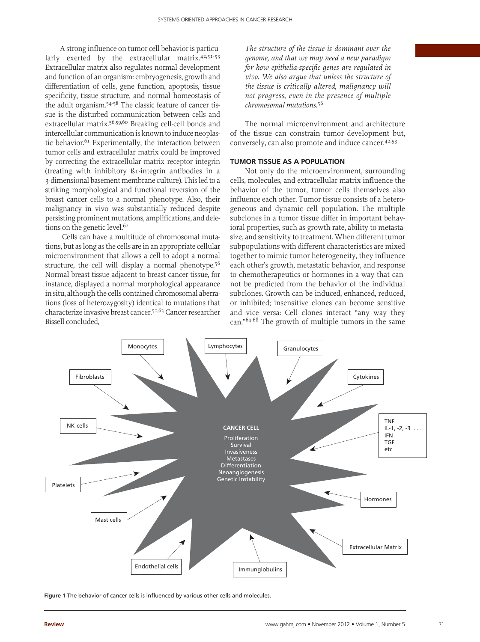A strong influence on tumor cell behavior is particularly exerted by the extracellular matrix.42,51-53 Extracellular matrix also regulates normal development and function of an organism: embryogenesis, growth and differentiation of cells, gene function, apoptosis, tissue specificity, tissue structure, and normal homeostasis of the adult organism.54-58 The classic feature of cancer tissue is the disturbed communication between cells and extracellular matrix.56,59,60 Breaking cell-cell bonds and intercellular communication is known to induce neoplastic behavior.<sup>61</sup> Experimentally, the interaction between tumor cells and extracellular matrix could be improved by correcting the extracellular matrix receptor integrin (treating with inhibitory ß1-integrin antibodies in a 3-dimensional basement membrane culture). This led to a striking morphological and functional reversion of the breast cancer cells to a normal phenotype. Also, their malignancy in vivo was substantially reduced despite persisting prominent mutations, amplifications, and deletions on the genetic level.<sup>62</sup>

 Cells can have a multitude of chromosomal mutations, but as long as the cells are in an appropriate cellular microenvironment that allows a cell to adopt a normal structure, the cell will display a normal phenotype.<sup>56</sup> Normal breast tissue adjacent to breast cancer tissue, for instance, displayed a normal morphological appearance in situ, although the cells contained chromosomal aberrations (loss of heterozygosity) identical to mutations that characterize invasive breast cancer.51,63 Cancer researcher Bissell concluded,

*The structure of the tissue is dominant over the genome, and that we may need a new paradigm for how epithelia-specific genes are regulated in vivo. We also argue that unless the structure of the tissue is critically altered, malignancy will not progress, even in the presence of multiple chromosomal mutations.*<sup>56</sup>

The normal microenvironment and architecture of the tissue can constrain tumor development but, conversely, can also promote and induce cancer.42,53

# **Tumor tissue as a population**

Not only do the microenvironment, surrounding cells, molecules, and extracellular matrix influence the behavior of the tumor, tumor cells themselves also influence each other. Tumor tissue consists of a heterogeneous and dynamic cell population. The multiple subclones in a tumor tissue differ in important behavioral properties, such as growth rate, ability to metastasize, and sensitivity to treatment. When different tumor subpopulations with different characteristics are mixed together to mimic tumor heterogeneity, they influence each other's growth, metastatic behavior, and response to chemotherapeutics or hormones in a way that cannot be predicted from the behavior of the individual subclones. Growth can be induced, enhanced, reduced, or inhibited; insensitive clones can become sensitive and vice versa: Cell clones interact "any way they can."64-68 The growth of multiple tumors in the same



**Figure 1** The behavior of cancer cells is influenced by various other cells and molecules.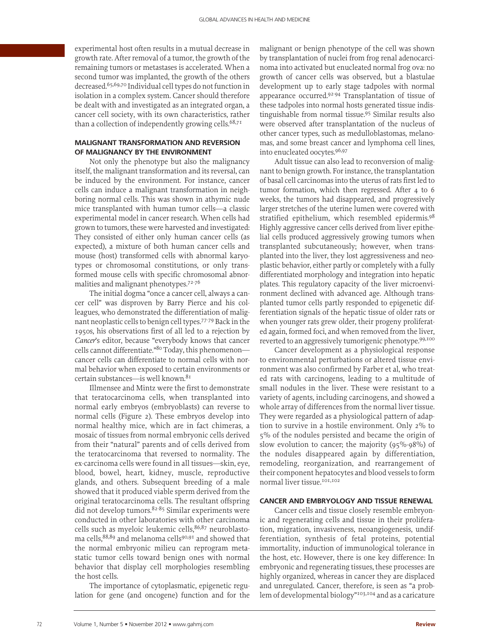experimental host often results in a mutual decrease in growth rate. After removal of a tumor, the growth of the remaining tumors or metastases is accelerated. When a second tumor was implanted, the growth of the others decreased.65,69,70 Individual cell types do not function in isolation in a complex system. Cancer should therefore be dealt with and investigated as an integrated organ, a cancer cell society, with its own characteristics, rather than a collection of independently growing cells.<sup>68,71</sup>

### **Malignant transformation and reversion of malignancy by the environment**

Not only the phenotype but also the malignancy itself, the malignant transformation and its reversal, can be induced by the environment. For instance, cancer cells can induce a malignant transformation in neighboring normal cells. This was shown in athymic nude mice transplanted with human tumor cells—a classic experimental model in cancer research. When cells had grown to tumors, these were harvested and investigated: They consisted of either only human cancer cells (as expected), a mixture of both human cancer cells and mouse (host) transformed cells with abnormal karyotypes or chromosomal constitutions, or only transformed mouse cells with specific chromosomal abnormalities and malignant phenotypes.72-76

The initial dogma "once a cancer cell, always a cancer cell" was disproven by Barry Pierce and his colleagues, who demonstrated the differentiation of malignant neoplastic cells to benign cell types.77-79 Back in the 1950s, his observations first of all led to a rejection by *Cancer*'s editor, because "everybody knows that cancer cells cannot differentiate."80 Today, this phenomenon cancer cells can differentiate to normal cells with normal behavior when exposed to certain environments or certain substances—is well known.81

Illmensee and Mintz were the first to demonstrate that teratocarcinoma cells, when transplanted into normal early embryos (embryoblasts) can reverse to normal cells (Figure 2). These embryos develop into normal healthy mice, which are in fact chimeras, a mosaic of tissues from normal embryonic cells derived from their "natural" parents and of cells derived from the teratocarcinoma that reversed to normality. The ex-carcinoma cells were found in all tissues—skin, eye, blood, bowel, heart, kidney, muscle, reproductive glands, and others. Subsequent breeding of a male showed that it produced viable sperm derived from the original teratocarcinoma cells. The resultant offspring did not develop tumors.<sup>82-85</sup> Similar experiments were conducted in other laboratories with other carcinoma cells such as myeloic leukemic cells, 86,87 neuroblastoma cells,88,89 and melanoma cells90,91 and showed that the normal embryonic milieu can reprogram metastatic tumor cells toward benign ones with normal behavior that display cell morphologies resembling the host cells.

The importance of cytoplasmatic, epigenetic regulation for gene (and oncogene) function and for the

malignant or benign phenotype of the cell was shown by transplantation of nuclei from frog renal adenocarcinoma into activated but enucleated normal frog ova: no growth of cancer cells was observed, but a blastulae development up to early stage tadpoles with normal appearance occurred.92-94 Transplantation of tissue of these tadpoles into normal hosts generated tissue indistinguishable from normal tissue.95 Similar results also were observed after transplantation of the nucleus of other cancer types, such as medulloblastomas, melanomas, and some breast cancer and lymphoma cell lines, into enucleated oocytes.96,97

Adult tissue can also lead to reconversion of malignant to benign growth. For instance, the transplantation of basal cell carcinomas into the uterus of rats first led to tumor formation, which then regressed. After 4 to 6 weeks, the tumors had disappeared, and progressively larger stretches of the uterine lumen were covered with stratified epithelium, which resembled epidermis.98 Highly aggressive cancer cells derived from liver epithelial cells produced aggressively growing tumors when transplanted subcutaneously; however, when transplanted into the liver, they lost aggressiveness and neoplastic behavior, either partly or completely with a fully differentiated morphology and integration into hepatic plates. This regulatory capacity of the liver microenvironment declined with advanced age. Although transplanted tumor cells partly responded to epigenetic differentiation signals of the hepatic tissue of older rats or when younger rats grew older, their progeny proliferated again, formed foci, and when removed from the liver, reverted to an aggressively tumorigenic phenotype.99,100

Cancer development as a physiological response to environmental perturbations or altered tissue environment was also confirmed by Farber et al, who treated rats with carcinogens, leading to a multitude of small nodules in the liver. These were resistant to a variety of agents, including carcinogens, and showed a whole array of differences from the normal liver tissue. They were regarded as a physiological pattern of adaption to survive in a hostile environment. Only 2% to 5% of the nodules persisted and became the origin of slow evolution to cancer; the majority (95%-98%) of the nodules disappeared again by differentiation, remodeling, reorganization, and rearrangement of their component hepatocytes and blood vessels to form normal liver tissue.101,102

## **Cancer and embryology and tissue renewal**

Cancer cells and tissue closely resemble embryonic and regenerating cells and tissue in their proliferation, migration, invasiveness, neoangiogenesis, undifferentiation, synthesis of fetal proteins, potential immortality, induction of immunological tolerance in the host, etc. However, there is one key difference: In embryonic and regenerating tissues, these processes are highly organized, whereas in cancer they are displaced and unregulated. Cancer, therefore, is seen as "a problem of developmental biology"<sup>103,104</sup> and as a caricature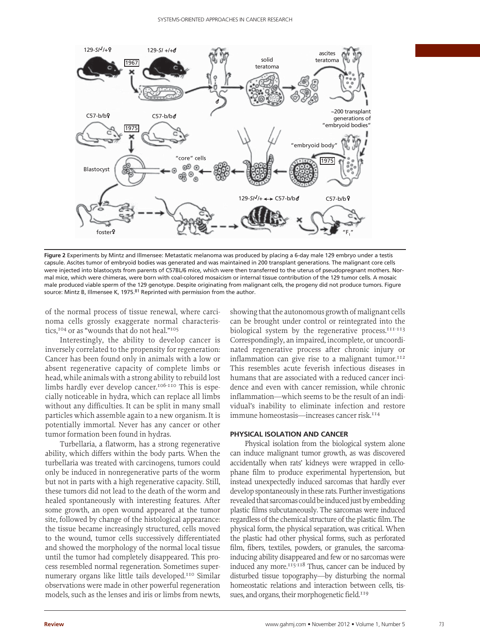

**Figure 2** Experiments by Mintz and Illmensee: Metastatic melanoma was produced by placing a 6-day male 129 embryo under a testis capsule. Ascites tumor of embryoid bodies was generated and was maintained in 200 transplant generations. The malignant core cells were injected into blastocysts from parents of C57BL/6 mice, which were then transferred to the uterus of pseudopregnant mothers. Normal mice, which were chimeras, were born with coal-colored mosaicism or internal tissue contribution of the 129 tumor cells. A mosaic male produced viable sperm of the 129 genotype. Despite originating from malignant cells, the progeny did not produce tumors. Figure source: Mintz B, Illmensee K, 1975.<sup>81</sup> Reprinted with permission from the author.

of the normal process of tissue renewal, where carcinoma cells grossly exaggerate normal characteristics,<sup>104</sup> or as "wounds that do not heal."<sup>105</sup>

Interestingly, the ability to develop cancer is inversely correlated to the propensity for regeneration: Cancer has been found only in animals with a low or absent regenerative capacity of complete limbs or head, while animals with a strong ability to rebuild lost limbs hardly ever develop cancer.<sup>106-110</sup> This is especially noticeable in hydra, which can replace all limbs without any difficulties. It can be split in many small particles which assemble again to a new organism. It is potentially immortal. Never has any cancer or other tumor formation been found in hydras.

Turbellaria, a flatworm, has a strong regenerative ability, which differs within the body parts. When the turbellaria was treated with carcinogens, tumors could only be induced in nonregenerative parts of the worm but not in parts with a high regenerative capacity. Still, these tumors did not lead to the death of the worm and healed spontaneously with interesting features. After some growth, an open wound appeared at the tumor site, followed by change of the histological appearance: the tissue became increasingly structured, cells moved to the wound, tumor cells successively differentiated and showed the morphology of the normal local tissue until the tumor had completely disappeared. This process resembled normal regeneration. Sometimes supernumerary organs like little tails developed.110 Similar observations were made in other powerful regeneration models, such as the lenses and iris or limbs from newts,

showing that the autonomous growth of malignant cells can be brought under control or reintegrated into the biological system by the regenerative process.<sup>111-113</sup> Correspondingly, an impaired, incomplete, or uncoordinated regenerative process after chronic injury or inflammation can give rise to a malignant tumor. $112$ This resembles acute feverish infectious diseases in humans that are associated with a reduced cancer incidence and even with cancer remission, while chronic inflammation—which seems to be the result of an individual's inability to eliminate infection and restore immune homeostasis—increases cancer risk.<sup>114</sup>

#### **Physical isolation and cancer**

Physical isolation from the biological system alone can induce malignant tumor growth, as was discovered accidentally when rats' kidneys were wrapped in cellophane film to produce experimental hypertension, but instead unexpectedly induced sarcomas that hardly ever develop spontaneously in these rats. Further investigations revealed that sarcomas could be induced just by embedding plastic films subcutaneously. The sarcomas were induced regardless of the chemical structure of the plastic film. The physical form, the physical separation, was critical. When the plastic had other physical forms, such as perforated film, fibers, textiles, powders, or granules, the sarcomainducing ability disappeared and few or no sarcomas were induced any more.<sup>115-118</sup> Thus, cancer can be induced by disturbed tissue topography—by disturbing the normal homeostatic relations and interaction between cells, tissues, and organs, their morphogenetic field.<sup>119</sup>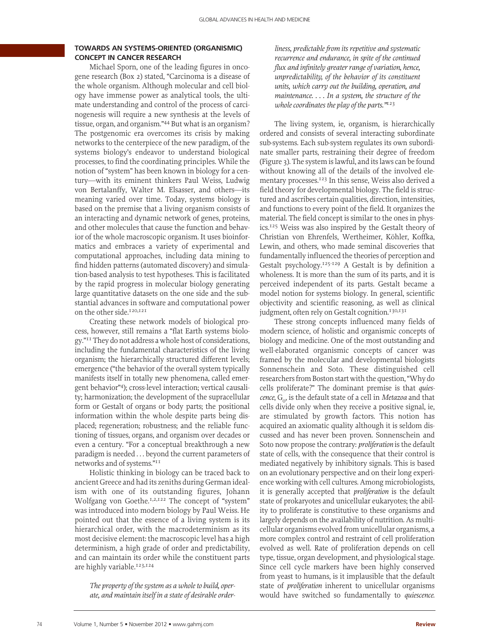## **Towards an systems-oriented (organismic) concept in cancer research**

Michael Sporn, one of the leading figures in oncogene research (Box 2) stated, "Carcinoma is a disease of the whole organism. Although molecular and cell biology have immense power as analytical tools, the ultimate understanding and control of the process of carcinogenesis will require a new synthesis at the levels of tissue, organ, and organism."44 But what is an organism? The postgenomic era overcomes its crisis by making networks to the centerpiece of the new paradigm, of the systems biology's endeavor to understand biological processes, to find the coordinating principles. While the notion of "system" has been known in biology for a century—with its eminent thinkers Paul Weiss, Ludwig von Bertalanffy, Walter M. Elsasser, and others—its meaning varied over time. Today, systems biology is based on the premise that a living organism consists of an interacting and dynamic network of genes, proteins, and other molecules that cause the function and behavior of the whole macroscopic organism. It uses bioinformatics and embraces a variety of experimental and computational approaches, including data mining to find hidden patterns (automated discovery) and simulation-based analysis to test hypotheses. This is facilitated by the rapid progress in molecular biology generating large quantitative datasets on the one side and the substantial advances in software and computational power on the other side.<sup>120,121</sup>

Creating these network models of biological process, however, still remains a "flat Earth systems biology."11 They do not address a whole host of considerations, including the fundamental characteristics of the living organism; the hierarchically structured different levels; emergence ("the behavior of the overall system typically manifests itself in totally new phenomena, called emergent behavior"4); cross-level interaction; vertical causality; harmonization; the development of the supracellular form or Gestalt of organs or body parts; the positional information within the whole despite parts being displaced; regeneration; robustness; and the reliable functioning of tissues, organs, and organism over decades or even a century. "For a conceptual breakthrough a new paradigm is needed . . . beyond the current parameters of networks and of systems."11

Holistic thinking in biology can be traced back to ancient Greece and had its zeniths during German idealism with one of its outstanding figures, Johann Wolfgang von Goethe.<sup>1,2,122</sup> The concept of "system" was introduced into modern biology by Paul Weiss. He pointed out that the essence of a living system is its hierarchical order, with the macrodeterminism as its most decisive element: the macroscopic level has a high determinism, a high grade of order and predictability, and can maintain its order while the constituent parts are highly variable.<sup>123,124</sup>

*The property of the system as a whole to build, operate, and maintain itself in a state of desirable order-*

*liness, predictable from its repetitive and systematic recurrence and endurance, in spite of the continued flux and infinitely greater range of variation, hence, unpredictability, of the behavior of its constituent units, which carry out the building, operation, and maintenance. . . . In a system, the structure of the whole coordinates the play of the parts."*<sup>123</sup>

The living system, ie, organism, is hierarchically ordered and consists of several interacting subordinate sub-systems. Each sub-system regulates its own subordinate smaller parts, restraining their degree of freedom (Figure 3). The system is lawful, and its laws can be found without knowing all of the details of the involved elementary processes.123 In this sense, Weiss also derived a field theory for developmental biology. The field is structured and ascribes certain qualities, direction, intensities, and functions to every point of the field. It organizes the material. The field concept is similar to the ones in physics.125 Weiss was also inspired by the Gestalt theory of Christian von Ehrenfels, Wertheimer, Köhler, Koffka, Lewin, and others, who made seminal discoveries that fundamentally influenced the theories of perception and Gestalt psychology.125-129 A Gestalt is by definition a wholeness. It is more than the sum of its parts, and it is perceived independent of its parts. Gestalt became a model notion for systems biology. In general, scientific objectivity and scientific reasoning, as well as clinical judgment, often rely on Gestalt cognition.<sup>130,131</sup>

These strong concepts influenced many fields of modern science, of holistic and organismic concepts of biology and medicine. One of the most outstanding and well-elaborated organismic concepts of cancer was framed by the molecular and developmental biologists Sonnenschein and Soto. These distinguished cell researchers from Boston start with the question, "Why do cells proliferate?" The dominant premise is that *quiescence*, G<sub>o</sub>, is the default state of a cell in *Metazoa* and that cells divide only when they receive a positive signal, ie, are stimulated by growth factors. This notion has acquired an axiomatic quality although it is seldom discussed and has never been proven. Sonnenschein and Soto now propose the contrary: *proliferation* is the default state of cells, with the consequence that their control is mediated negatively by inhibitory signals. This is based on an evolutionary perspective and on their long experience working with cell cultures. Among microbiologists, it is generally accepted that *proliferation* is the default state of prokaryotes and unicellular eukaryotes; the ability to proliferate is constitutive to these organisms and largely depends on the availability of nutrition. As multicellular organisms evolved from unicellular organisms, a more complex control and restraint of cell proliferation evolved as well. Rate of proliferation depends on cell type, tissue, organ development, and physiological stage. Since cell cycle markers have been highly conserved from yeast to humans, is it implausible that the default state of *proliferation* inherent to unicellular organisms would have switched so fundamentally to *quiescence*.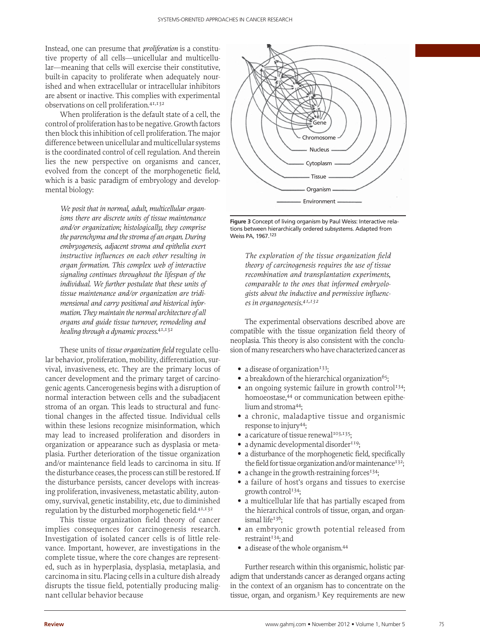Instead, one can presume that *proliferation* is a constitutive property of all cells—unicellular and multicellular—meaning that cells will exercise their constitutive, built-in capacity to proliferate when adequately nourished and when extracellular or intracellular inhibitors are absent or inactive. This complies with experimental observations on cell proliferation.41,132

When proliferation is the default state of a cell, the control of proliferation has to be negative. Growth factors then block this inhibition of cell proliferation. The major difference between unicellular and multicellular systems is the coordinated control of cell regulation. And therein lies the new perspective on organisms and cancer, evolved from the concept of the morphogenetic field, which is a basic paradigm of embryology and developmental biology:

*We posit that in normal, adult, multicellular organisms there are discrete units of tissue maintenance and/or organization; histologically, they comprise the parenchyma and the stroma of an organ. During embryogenesis, adjacent stroma and epithelia exert instructive influences on each other resulting in organ formation. This complex web of interactive signaling continues throughout the lifespan of the individual. We further postulate that these units of tissue maintenance and/or organization are tridimensional and carry positional and historical information. They maintain the normal architecture of all organs and guide tissue turnover, remodeling and healing through a dynamic process.*41,132

These units of *tissue organization field* regulate cellular behavior, proliferation, mobility, differentiation, survival, invasiveness, etc. They are the primary locus of cancer development and the primary target of carcinogenic agents. Cancerogenesis begins with a disruption of normal interaction between cells and the subadjacent stroma of an organ. This leads to structural and functional changes in the affected tissue. Individual cells within these lesions recognize misinformation, which may lead to increased proliferation and disorders in organization or appearance such as dysplasia or metaplasia. Further deterioration of the tissue organization and/or maintenance field leads to carcinoma in situ. If the disturbance ceases, the process can still be restored. If the disturbance persists, cancer develops with increasing proliferation, invasiveness, metastatic ability, autonomy, survival, genetic instability, etc, due to diminished regulation by the disturbed morphogenetic field.41,132

This tissue organization field theory of cancer implies consequences for carcinogenesis research. Investigation of isolated cancer cells is of little relevance. Important, however, are investigations in the complete tissue, where the core changes are represented, such as in hyperplasia, dysplasia, metaplasia, and carcinoma in situ. Placing cells in a culture dish already disrupts the tissue field, potentially producing malignant cellular behavior because



**Figure 3** Concept of living organism by Paul Weiss: Interactive relations between hierarchically ordered subsystems. Adapted from Weiss PA, 1967.123

*The exploration of the tissue organization field theory of carcinogenesis requires the use of tissue recombination and transplantation experiments, comparable to the ones that informed embryologists about the inductive and permissive influences in organogenesis.41,132* 

The experimental observations described above are compatible with the tissue organization field theory of neoplasia. This theory is also consistent with the conclusion of many researchers who have characterized cancer as

- a disease of organization $133$ ;
- $\bullet$  a breakdown of the hierarchical organization<sup>65</sup>;
- $\bullet$  an ongoing systemic failure in growth control<sup>134</sup>; homoeostase,44 or communication between epithelium and stroma44;
- a chronic, maladaptive tissue and organismic response to injury44;
- $\bullet$  a caricature of tissue renewal<sup>103,135</sup>;
- $\bullet$  a dynamic developmental disorder<sup>119</sup>;
- a disturbance of the morphogenetic field, specifically the field for tissue organization and/or maintenance<sup>132</sup>;
- $\bullet$  a change in the growth-restraining forces<sup>134</sup>;
- a failure of host's organs and tissues to exercise growth control<sup>134</sup>;
- a multicellular life that has partially escaped from the hierarchical controls of tissue, organ, and organismal life $136$ :
- an embryonic growth potential released from restraint<sup>134</sup>; and
- a disease of the whole organism.<sup>44</sup>

Further research within this organismic, holistic paradigm that understands cancer as deranged organs acting in the context of an organism has to concentrate on the tissue, organ, and organism.3 Key requirements are new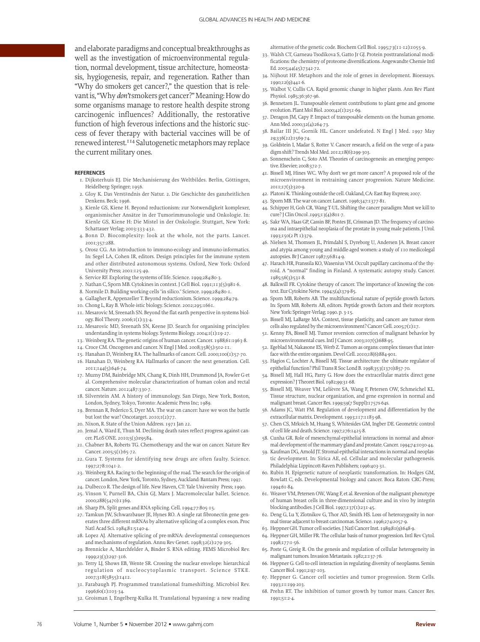and elaborate paradigms and conceptual breakthroughs as well as the investigation of microenvironmental regulation, normal development, tissue architecture, homeostasis, hygiogenesis, repair, and regeneration. Rather than "Why do smokers get cancer?," the question that is relevant is, "Why *don't* smokers get cancer?" Meaning: How do some organisms manage to restore health despite strong carcinogenic influences? Additionally, the restorative function of high feverous infections and the historic success of fever therapy with bacterial vaccines will be of renewed interest.114 Salutogenetic metaphors may replace the current military ones.

#### **References**

- 1. Dijksterhuis EJ. Die Mechanisierung des Weltbildes. Berlin, Göttingen, Heidelberg: Springer; 1956.
- 2. Gloy K. Das Verständnis der Natur. 2. Die Geschichte des ganzheitlichen Denkens. Beck; 1996.
- 3. Kienle GS, Kiene H. Beyond reductionism: zur Notwendigkeit komplexer, organismischer Ansätze in der Tumorimmunologie und Onkologie. In: Kienle GS, Kiene H: Die Mistel in der Onkologie. Stuttgart, New York: Schattauer Verlag; 2003:333-432.
- 4. Bonn D. Biocomplexity: look at the whole, not the parts. Lancet. 2001;357:288.
- 5. Orosz CG. An introduction to immuno-ecology and immuno-informatics. In: Segel LA, Cohen IR, editors. Design principles for the immune system and other distributed autonomous systems. Oxford, New York: Oxford University Press; 2001:125-49.
- 6. Service RF. Exploring the systems of life. Science. 1999;284:80-3.
- 7. Nathan C, Sporn MB. Cytokines in context. J Cell Biol. 1991;113(5):981-6.
- 8. Normile D. Building working cells "in silico." Science. 1999;284:80-1.
- 9. Gallagher R, Appenzeller T. Beyond reductionism. Science. 1999;284:79.
- 10. Chong L, Ray B. Whole-istic biology. Science. 2002;295:1661.
- 11. Mesarovic M, Sreenath SN. Beyond the flat earth perspective in systems biology. Biol Theory. 2006;1(1):33-4.
- 12. Mesarovic MD, Sreenath SN, Keene JD. Search for organising principles: understanding in systems biology. Systems Biology. 2004;1(1):19-27.
- 13. Weinberg RA. The genetic origins of human cancer. Cancer. 1988;61:1963-8.
- 14. Croce CM. Oncogenes and cancer. N Engl J Med. 2008;358(5):502-11.
- 15. Hanahan D, Weinberg RA. The hallmarks of cancer. Cell. 2000;100(1):57-70. 16. Hanahan D, Weinberg RA. Hallmarks of cancer: the next generation. Cell. 2011;144(5):646-74.
- 17. Muzny DM, Bainbridge MN, Chang K, Dinh HH, Drummond JA, Fowler G et al. Comprehensive molecular characterization of human colon and rectal cancer. Nature. 2012;487:330-7.
- 18. Silverstein AM. A history of immunology. San Diego, New York, Boston, London, Sydney, Tokyo, Toronto: Academic Press Inc; 1989.
- 19. Brennan R, Federico S, Dyer MA. The war on cancer: have we won the battle but lost the war? Oncotarget. 2010;1(2):77.
- 20. Nixon, R. State of the Union Address. 1971 Jan 22.
- 20. Jemal A, Ward E, Thun M. Declining death rates reflect progress against cancer. PLoS ONE. 2010;5(3):e9584.
- 21. Chabner BA, Roberts TG. Chemotherapy and the war on cancer. Nature Rev Cancer. 2005;5(1):65-72.
- 22. Gura T. Systems for identifying new drugs are often faulty. Science. 1997;278:1041-2.
- 23. Weinberg RA. Racing to the beginning of the road. The search for the origin of cancer. London, New York, Toronto, Sydney, Auckland: Bantam Press; 1997.
- 24. Dulbecco R. The design of life. New Haven, CT: Yale University Press; 1990.
- 25. Vinson V, Purnell BA, Chin GJ, Marx J. Macromolecular ballet. Science. 2000;288(5470):1369.
- 26. Sharp PA. Split genes and RNA splicing. Cell. 1994;77:805-15.
- 27. Tamkun JW, Schwarzbauer JE, Hynes RO. A single rat fibronectin gene generates three different mRNAs by alternative splicing of a complex exon. Proc Natl Acad Sci. 1984;81:5140-4.
- 28. Lopez AJ. Alternative splicing of pre-mRNA: developmental consequences and mechanisms of regulation. Annu Rev Genet. 1998;32(2):279-305.
- 29. Brennicke A, Marchfelder A, Binder S. RNA editing. FEMS Microbiol Rev. 1999;23(3):297-316.
- 30. Terry LJ, Shows EB, Wente SR. Crossing the nuclear envelope: hierarchical regulation of nucleocytoplasmic transport. Science STKE. 2007;318(5855):1412.
- 31. Farabaugh PJ. Programmed translational frameshifting. Microbiol Rev. 1996;60(1):103-34.
- 32. Groisman I, Engelberg-Kulka H. Translational bypassing: a new reading

alternative of the genetic code. Biochem Cell Biol. 1995;73(11-12):1055-9.

- 33. Walsh CT, Garneau-Tsodikova S, Gatto Jr GJ. Protein posttranslational modifications: the chemistry of proteome diversifications. Angewandte Chemie Intl Ed. 2005;44(45):7342-72.
- 34. Nijhout HF. Metaphors and the role of genes in development. Bioessays. 1990;12(9):441-6.
- 35. Walbot V, Cullis CA. Rapid genomic change in higher plants. Ann Rev Plant Physiol. 1985;36:367-96.
- 36. Bennetzen JL. Transposable element contributions to plant gene and genome evolution. Plant Mol Biol. 2000;42(1):251-69.
- 37. Deragon JM, Capy P. Impact of transposable elements on the human genome. Ann Med. 2000;32(4):264-73.
- 38. Bailar III JC, Gornik HL. Cancer undefeated. N Engl J Med. 1997 May 29;336(22):1569-74.
- 39. Goldstein I, Madar S, Rotter V. Cancer research, a field on the verge of a paradigm shift? Trends Mol Med. 2012;18(6):299-303.
- 40. Sonnenschein C, Soto AM. Theories of carcinogenesis: an emerging perspective. Elsevier; 2008:372-7.
- 41. Bissell MJ, Hines WC. Why don't we get more cancer? A proposed role of the microenvironment in restraining cancer progression. Nature Medicine. 2011;17(3):320-9.
- 42. Platoni K. Thinking outside the cell. Oakland, CA: East Bay Express; 2007.
- 43. Sporn MB. The war on cancer. Lancet. 1996;347:1377-81.
- 44. Schipper H, Goh CR, Wang T-UL. Shifting the cancer paradigm: Must we kill to cure? J Clin Oncol .1995;13(4):801-7.
- 45. Sakr WA, Haas GP, Cassin BF, Pontes JE, Crissman JD. The frequency of carcinoma and intraepithelial neoplasia of the prostate in young male patients. J Urol. 1993;150(2 Pt 1):379.
- 46. Nielsen M, Thomsen JL, Primdahl S, Dyreborg U, Andersen JA. Breast cancer and atypia among young and middle-aged women: a study of 110 medicolegal autopsies. Br J Cancer 1987;56:814-9.
- 47. Harach HR, Franssila KO, Wasenius VM. Occult papillary carcinoma of the thyroid. A "normal" finding in Finland. A systematic autopsy study. Cancer. 1985;56(3):531-8.
- 48. Balkwill FR. Cytokine therapy of cancer. The importance of knowing the context. Eur Cytokine Netw. 1994;5(4):379-85.
- 49. Sporn MB, Roberts AB. The multifunctional nature of peptide growth factors. In: Sporn MB, Roberts AB, editors. Peptide growth factors and their receptors. New York: Springer-Verlag; 1990. p. 3-15.
- 50. Bissell MJ, LaBarge MA. Context, tissue plasticity, and cancer: are tumor stem cells also regulated by the microenvironment? Cancer Cell. 2005;7(1):17.
- 51. Kenny PA, Bissell MJ. Tumor reversion: correction of malignant behavior by microenvironmental cues. Intl J Cancer. 2003;107(5):688-95.
- 52. Egeblad M, Nakasone ES, Werb Z. Tumors as organs: complex tissues that interface with the entire organism. Devel Cell. 2010;18(6):884-901.
- 53. Hagios C, Lochter A, Bissell MJ. Tissue architecture: the ultimate regulator of epithelial function? Phil Trans R Soc Lond B. 1998;353(1370):857-70.
- 54. Bissell MJ, Hall HG, Parry G. How does the extracellular matrix direct gene expression? J Theoret Biol. 1982;99:31-68.
- 55. Bissell MJ, Weaver VM, Lelièvre SA, Wang F, Petersen OW, Schmeichel KL. Tissue structure, nuclear organization, and gene expression in normal and malignant breast. Cancer Res. 1999;59(7 Suppl):1757s-64s.
- 56. Adams JC, Watt FM. Regulation of development and differentiation by the extracellular matrix. Development. 1993;117:1183-98.
- 57. Chen CS, Mrksich M, Huang S, Whitesides GM, Ingber DE. Geometric control of cell life and death. Science. 1997;276:1425-8.
- 58. Cunha GR. Role of mesenchymal-epithelial interactions in normal and abnormal development of the mammary gland and prostate. Cancer. 1994;74:1030-44.
- 59. Kaufman DG, Arnold JT. Stromal-epithelial interactions in normal and neoplastic development. In: Sirica AE, ed. Cellular and molecular pathogenesis. Philadelphia: Lippincott-Raven Publishers; 1996:403-31.
- 60. Rubin H. Epigenetic nature of neoplastic transformation. In: Hodges GM, Rowlatt C, eds. Developmental biology and cancer. Boca Raton: CRC-Press; 1994:61-84.
- 61. Weaver VM, Petersen OW, Wang F, et al. Reversion of the malignant phenotype of human breast cells in three-dimensional culture and in vivo by integrin blocking antibodies. J Cell Biol. 1997;137(1):231-45.
- 62. Deng G, Lu Y, Zlotnikov G, Thor AD, Smith HS. Loss of heterozygosity in normal tissue adjacent to breast carcinomas. Science. 1996;274:2057-9.
- 63. Heppner GH. Tumor cell societies. J Natl Cancer Inst. 1989;81(9):648-9.
- 64. Heppner GH, Miller FR. The cellular basis of tumor progression. Intl Rev Cytol. 1998;177:1-56.
- 65. Poste G, Greig R. On the genesis and regulation of cellular heterogeneity in malignant tumors. Invasion Metastasis. 1982;2:137-76.
- 66. Heppner G. Cell-to-cell interaction in regulating diversity of neoplasms. Semin Cancer Biol. 1991;2:97-103.
- 67. Heppner G. Cancer cell societies and tumor progression. Stem Cells. 1993;11:199-203.
- 68. Prehn RT. The inhibition of tumor growth by tumor mass. Cancer Res. 1991;51:2-4.